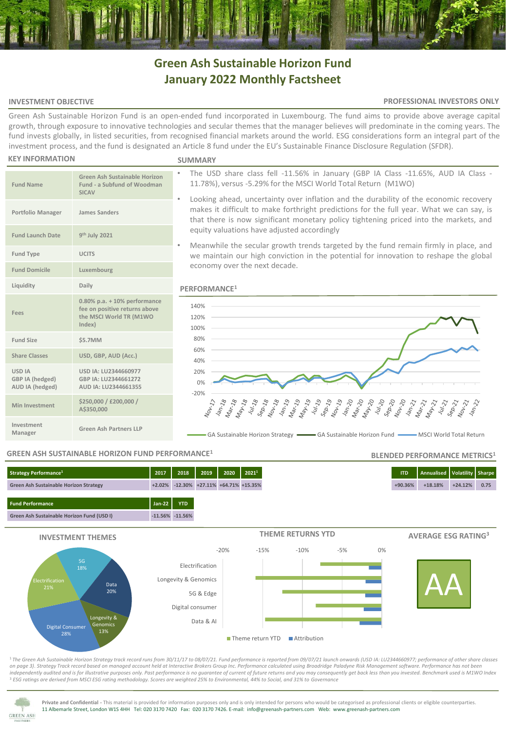# **Green Ash Sustainable Horizon Fund January 2022 Monthly Factsheet**

# **INVESTMENT OBJECTIVE**

# **PROFESSIONAL INVESTORS ONLY**

**BLENDED PERFORMANCE METRICS<sup>1</sup>**

Green Ash Sustainable Horizon Fund is an open-ended fund incorporated in Luxembourg. The fund aims to provide above average capital growth, through exposure to innovative technologies and secular themes that the manager believes will predominate in the coming years. The fund invests globally, in listed securities, from recognised financial markets around the world. ESG considerations form an integral part of the investment process, and the fund is designated an Article 8 fund under the EU's Sustainable Finance Disclosure Regulation (SFDR).

#### **KEY INFORMATION**

**Fund Name**

**Fund Launch Date** 

**Fees**

**USD IA GBP IA (hedged) AUD IA (hedged)**

**Investment** 

#### **SUMMARY**

- The USD share class fell -11.56% in January (GBP IA Class -11.65%, AUD IA Class 11.78%), versus -5.29% for the MSCI World Total Return (M1WO)
- Looking ahead, uncertainty over inflation and the durability of the economic recovery makes it difficult to make forthright predictions for the full year. What we can say, is that there is now significant monetary policy tightening priced into the markets, and equity valuations have adjusted accordingly
- Meanwhile the secular growth trends targeted by the fund remain firmly in place, and we maintain our high conviction in the potential for innovation to reshape the global economy over the next decade.

# **PERFORMANCE<sup>1</sup>**



GA Sustainable Horizon Strategy **GA Sustainable Horizon Fund Communisty** MSCI World Total Return

# **GREEN ASH SUSTAINABLE HORIZON FUND PERFORMANCE<sup>1</sup>**

**Manager Green Ash Partners LLP**

**USD IA: LU2344660977 GBP IA: LU2344661272 AUD IA: LU2344661355**

**Green Ash Sustainable Horizon Fund - a Subfund of Woodman** 

**0.80% p.a. + 10% performance fee on positive returns above the MSCI World TR (M1WO** 

**SICAV**

**th July 2021**

**Index)**

**Share Classes USD, GBP, AUD (Acc.)**

**Min Investment \$250,000 / £200,000 /** 

**A\$350,000**

**Portfolio Manager James Sanders**

**Fund Type UCITS Fund Domicile Luxembourg Liquidity Daily**

**Fund Size \$5.7MM**

# **Fund Performance Jan-22 YTD Green Ash Sustainable Horizon Fund (USD I) -11.56% -11.56% Strategy Performance<sup>1</sup> 2017 2018 2019 2020 2021<sup>1</sup> ITD Annualised Volatility Sharpe Green Ash Sustainable Horizon Strategy +2.02% -12.30% +27.11% +64.71% +15.35% +90.36% +18.18% +24.12% 0.75**



<sup>1</sup>*The Green Ash Sustainable Horizon Strategy track record runs from 30/11/17 to 08/07/21. Fund performance is reported from 09/07/21 launch onwards (USD IA: LU2344660977; performance of other share classes on page 3)*. *Strategy Track record based on managed account held at Interactive Brokers Group Inc. Performance calculated using Broadridge Paladyne Risk Management software. Performance has not been independently audited and is for illustrative purposes only. Past performance is no guarantee of current of future returns and you may consequently get back less than you invested. Benchmark used is M1WO Index* <sup>3</sup> *ESG ratings are derived from MSCI ESG rating methodology. Scores are weighted 25% to Environmental, 44% to Social, and 31% to Governance*



**Private and Confidential -** This material is provided for information purposes only and is only intended for persons who would be categorised as professional clients or eligible counterparties. 11 Albemarle Street, London W1S 4HH Tel: 020 3170 7420 Fax: 020 3170 7426. E-mail: info@greenash-partners.com Web: www.greenash-partners.com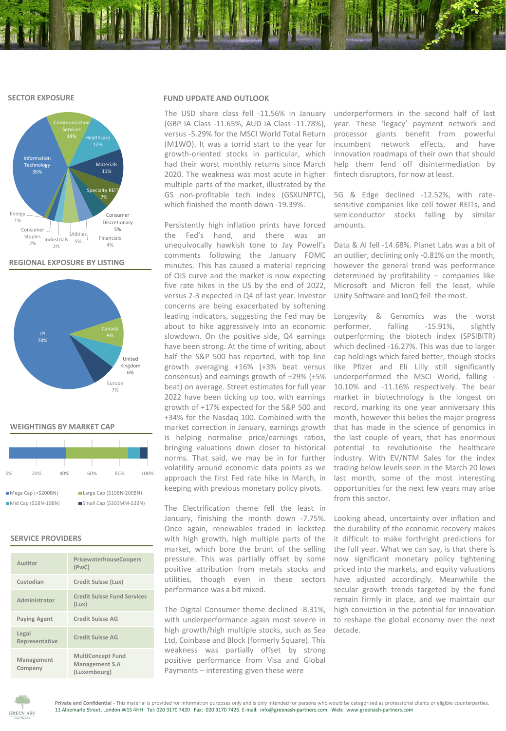# **SECTOR EXPOSURE**



**REGIONAL EXPOSURE BY LISTING**



#### **WEIGHTINGS BY MARKET CAP**

| 0%                    | 20% | 40% | 60%                        | 80% | 100% |  |  |  |  |
|-----------------------|-----|-----|----------------------------|-----|------|--|--|--|--|
| Mega Cap (> \$200BN)  |     |     | Large Cap (\$10BN-200BN)   |     |      |  |  |  |  |
| $Mid Cap (52BN-10BN)$ |     |     | ■Small Cap (\$300MM-\$2BN) |     |      |  |  |  |  |

# **SERVICE PROVIDERS**

| Auditor                 | PricewaterhouseCoopers<br>(PWC)                            |
|-------------------------|------------------------------------------------------------|
| Custodian               | Credit Suisse (Lux)                                        |
| Administrator           | <b>Credit Suisse Fund Services</b><br>(Lux)                |
| <b>Paying Agent</b>     | <b>Credit Suisse AG</b>                                    |
| Legal<br>Representative | <b>Credit Suisse AG</b>                                    |
| Management<br>Company   | <b>MultiConcept Fund</b><br>Management S.A<br>(Luxembourg) |

# **FUND UPDATE AND OUTLOOK**

(GBP IA Class -11.65%, AUD IA Class -11.78%), year. These 'legacy' payment network and versus -5.29% for the MSCI World Total Return processor giants benefit from powerful (M1WO). It was a torrid start to the year for growth-oriented stocks in particular, which had their worst monthly returns since March 2020. The weakness was most acute in higher multiple parts of the market, illustrated by the GS non-profitable tech index (GSXUNPTC), which finished the month down -19.39%.

Persistently high inflation prints have forced the Fed's hand, and there was an unequivocally hawkish tone to Jay Powell's comments following the January FOMC minutes. This has caused a material repricing of OIS curve and the market is now expecting five rate hikes in the US by the end of 2022, versus 2-3 expected in Q4 of last year. Investor concerns are being exacerbated by softening leading indicators, suggesting the Fed may be about to hike aggressively into an economic slowdown. On the positive side, Q4 earnings have been strong. At the time of writing, about half the S&P 500 has reported, with top line growth averaging +16% (+3% beat versus consensus) and earnings growth of +29% (+5% beat) on average. Street estimates for full year 2022 have been ticking up too, with earnings growth of +17% expected for the S&P 500 and +34% for the Nasdaq 100. Combined with the market correction in January, earnings growth is helping normalise price/earnings ratios, bringing valuations down closer to historical norms. That said, we may be in for further volatility around economic data points as we approach the first Fed rate hike in March, in keeping with previous monetary policy pivots.

The Electrification theme fell the least in January, finishing the month down -7.75%. Once again, renewables traded in lockstep with high growth, high multiple parts of the market, which bore the brunt of the selling pressure. This was partially offset by some positive attribution from metals stocks and utilities, though even in these sectors performance was a bit mixed.

The Digital Consumer theme declined -8.31%, with underperformance again most severe in high growth/high multiple stocks, such as Sea Ltd, Coinbase and Block (formerly Square). This weakness was partially offset by strong positive performance from Visa and Global Payments – interesting given these were

The USD share class fell -11.56% in January underperformers in the second half of last incumbent network effects, and have innovation roadmaps of their own that should help them fend off disintermediation by fintech disruptors, for now at least.

> 5G & Edge declined -12.52%, with ratesensitive companies like cell tower REITs, and semiconductor stocks falling by similar amounts.

> Data & AI fell -14.68%. Planet Labs was a bit of an outlier, declining only -0.81% on the month, however the general trend was performance determined by profitability – companies like Microsoft and Micron fell the least, while Unity Software and IonQ fell the most.

> Longevity & Genomics was the worst performer, falling -15.91%, slightly outperforming the biotech index (SPSIBITR) which declined -16.27%. This was due to larger cap holdings which fared better, though stocks like Pfizer and Eli Lilly still significantly underperformed the MSCI World, falling - 10.10% and -11.16% respectively. The bear market in biotechnology is the longest on record, marking its one year anniversary this month, however this belies the major progress that has made in the science of genomics in the last couple of years, that has enormous potential to revolutionise the healthcare industry. With EV/NTM Sales for the index trading below levels seen in the March 20 lows last month, some of the most interesting opportunities for the next few years may arise from this sector.

> Looking ahead, uncertainty over inflation and the durability of the economic recovery makes it difficult to make forthright predictions for the full year. What we can say, is that there is now significant monetary policy tightening priced into the markets, and equity valuations have adjusted accordingly. Meanwhile the secular growth trends targeted by the fund remain firmly in place, and we maintain our high conviction in the potential for innovation to reshape the global economy over the next decade.